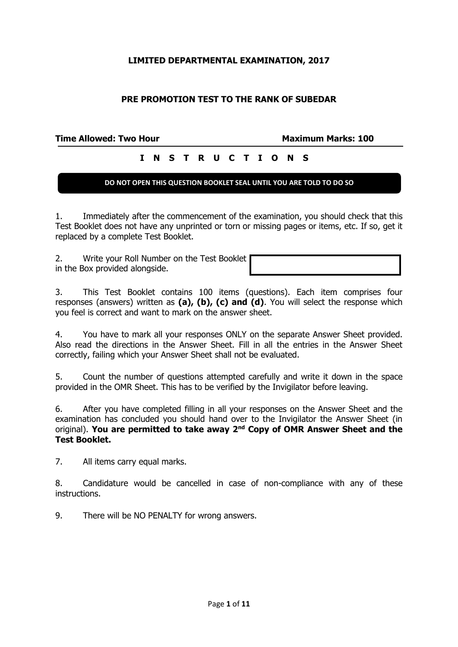## **LIMITED DEPARTMENTAL EXAMINATION, 2017**

## **PRE PROMOTION TEST TO THE RANK OF SUBEDAR**

**Time Allowed: Two Hour Maximum Marks: 100 I N S T R U C T I O N S**

#### **DO NOT OPEN THIS QUESTION BOOKLET SEAL UNTIL YOU ARE TOLD TO DO SO**

1. Immediately after the commencement of the examination, you should check that this Test Booklet does not have any unprinted or torn or missing pages or items, etc. If so, get it replaced by a complete Test Booklet.

2. Write your Roll Number on the Test Booklet in the Box provided alongside.

3. This Test Booklet contains 100 items (questions). Each item comprises four responses (answers) written as **(a), (b), (c) and (d)**. You will select the response which you feel is correct and want to mark on the answer sheet.

4. You have to mark all your responses ONLY on the separate Answer Sheet provided. Also read the directions in the Answer Sheet. Fill in all the entries in the Answer Sheet correctly, failing which your Answer Sheet shall not be evaluated.

5. Count the number of questions attempted carefully and write it down in the space provided in the OMR Sheet. This has to be verified by the Invigilator before leaving.

6. After you have completed filling in all your responses on the Answer Sheet and the examination has concluded you should hand over to the Invigilator the Answer Sheet (in original). **You are permitted to take away 2nd Copy of OMR Answer Sheet and the Test Booklet.**

7. All items carry equal marks.

8. Candidature would be cancelled in case of non-compliance with any of these instructions.

9. There will be NO PENALTY for wrong answers.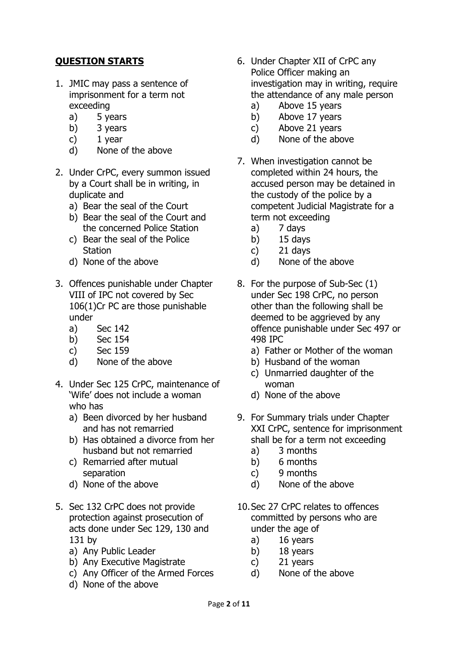## **QUESTION STARTS**

- 1. JMIC may pass a sentence of imprisonment for a term not exceeding
	- a) 5 years
	- b) 3 years
	- c) 1 year
	- d) None of the above
- 2. Under CrPC, every summon issued by a Court shall be in writing, in duplicate and
	- a) Bear the seal of the Court
	- b) Bear the seal of the Court and the concerned Police Station
	- c) Bear the seal of the Police **Station**
	- d) None of the above
- 3. Offences punishable under Chapter VIII of IPC not covered by Sec 106(1)Cr PC are those punishable under
	- a) Sec 142
	- b) Sec 154
	- c) Sec 159
	- d) None of the above
- 4. Under Sec 125 CrPC, maintenance of 'Wife' does not include a woman who has
	- a) Been divorced by her husband and has not remarried
	- b) Has obtained a divorce from her husband but not remarried
	- c) Remarried after mutual separation
	- d) None of the above
- 5. Sec 132 CrPC does not provide protection against prosecution of acts done under Sec 129, 130 and 131 by
	- a) Any Public Leader
	- b) Any Executive Magistrate
	- c) Any Officer of the Armed Forces
	- d) None of the above
- 6. Under Chapter XII of CrPC any Police Officer making an investigation may in writing, require the attendance of any male person
	- a) Above 15 years
	- b) Above 17 years
	- c) Above 21 years
	- d) None of the above
- 7. When investigation cannot be completed within 24 hours, the accused person may be detained in the custody of the police by a competent Judicial Magistrate for a term not exceeding
	- a) 7 days
	- b)  $15$  days
	- c) 21 days
	- d) None of the above
- 8. For the purpose of Sub-Sec (1) under Sec 198 CrPC, no person other than the following shall be deemed to be aggrieved by any offence punishable under Sec 497 or 498 IPC
	- a) Father or Mother of the woman
	- b) Husband of the woman
	- c) Unmarried daughter of the woman
	- d) None of the above
- 9. For Summary trials under Chapter XXI CrPC, sentence for imprisonment shall be for a term not exceeding
	- a) 3 months
	- b) 6 months
	- c) 9 months
	- d) None of the above
- 10.Sec 27 CrPC relates to offences committed by persons who are under the age of
	- a) 16 years
	- b) 18 years
	- c) 21 years
	- d) None of the above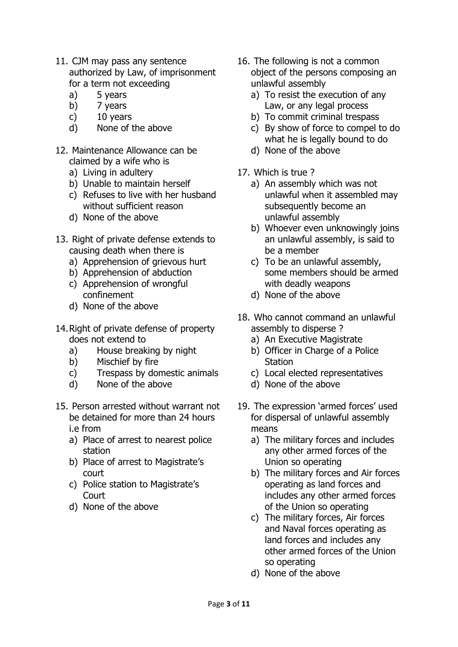- 11. CJM may pass any sentence authorized by Law, of imprisonment for a term not exceeding
	- a) 5 years
	- b) 7 years
	- c) 10 years
	- d) None of the above
- 12. Maintenance Allowance can be claimed by a wife who is
	- a) Living in adultery
	- b) Unable to maintain herself
	- c) Refuses to live with her husband without sufficient reason
	- d) None of the above
- 13. Right of private defense extends to causing death when there is
	- a) Apprehension of grievous hurt
	- b) Apprehension of abduction
	- c) Apprehension of wrongful confinement
	- d) None of the above
- 14.Right of private defense of property does not extend to
	- a) House breaking by night
	- b) Mischief by fire
	- c) Trespass by domestic animals
	- d) None of the above
- 15. Person arrested without warrant not be detained for more than 24 hours i.e from
	- a) Place of arrest to nearest police station
	- b) Place of arrest to Magistrate's court
	- c) Police station to Magistrate's **Court**
	- d) None of the above
- 16. The following is not a common object of the persons composing an unlawful assembly
	- a) To resist the execution of any Law, or any legal process
	- b) To commit criminal trespass
	- c) By show of force to compel to do what he is legally bound to do
	- d) None of the above
- 17. Which is true ?
	- a) An assembly which was not unlawful when it assembled may subsequently become an unlawful assembly
	- b) Whoever even unknowingly joins an unlawful assembly, is said to be a member
	- c) To be an unlawful assembly, some members should be armed with deadly weapons
	- d) None of the above
- 18. Who cannot command an unlawful assembly to disperse ?
	- a) An Executive Magistrate
	- b) Officer in Charge of a Police **Station**
	- c) Local elected representatives
	- d) None of the above
- 19. The expression 'armed forces' used for dispersal of unlawful assembly means
	- a) The military forces and includes any other armed forces of the Union so operating
	- b) The military forces and Air forces operating as land forces and includes any other armed forces of the Union so operating
	- c) The military forces, Air forces and Naval forces operating as land forces and includes any other armed forces of the Union so operating
	- d) None of the above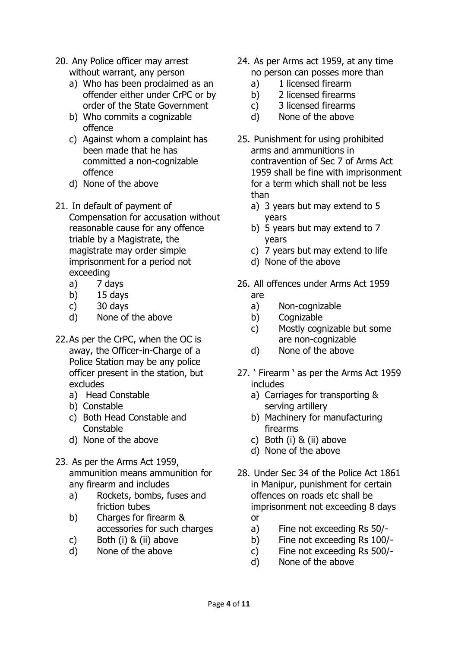- 20. Any Police officer may arrest without warrant, any person
	- a) Who has been proclaimed as an offender either under CrPC or by order of the State Government
	- b) Who commits a cognizable offence
	- c) Against whom a complaint has been made that he has committed a non-cognizable offence
	- d) None of the above
- 21. In default of payment of Compensation for accusation without reasonable cause for any offence triable by a Magistrate, the magistrate may order simple imprisonment for a period not exceeding
	- a) 7 days
	- b) 15 days
	- c) 30 days
	- d) None of the above
- 22.As per the CrPC, when the OC is away, the Officer-in-Charge of a Police Station may be any police officer present in the station, but excludes
	- a) Head Constable
	- b) Constable
	- c) Both Head Constable and Constable
	- d) None of the above
- 23. As per the Arms Act 1959, ammunition means ammunition for any firearm and includes
	- a) Rockets, bombs, fuses and friction tubes
	- b) Charges for firearm & accessories for such charges
	- c) Both (i) & (ii) above
	- d) None of the above
- 24. As per Arms act 1959, at any time no person can posses more than
	- a) 1 licensed firearm
	- b) 2 licensed firearms
	- c) 3 licensed firearms
	- d) None of the above
- 25. Punishment for using prohibited arms and ammunitions in contravention of Sec 7 of Arms Act 1959 shall be fine with imprisonment for a term which shall not be less than
	- a) 3 years but may extend to 5 years
	- b) 5 years but may extend to 7 years
	- c) 7 years but may extend to life
	- d) None of the above
- 26. All offences under Arms Act 1959 are
	- a) Non-cognizable
	- b) Cognizable
	- c) Mostly cognizable but some are non-cognizable
	- d) None of the above
- 27. ' Firearm ' as per the Arms Act 1959 includes
	- a) Carriages for transporting & serving artillery
	- b) Machinery for manufacturing firearms
	- c) Both (i) & (ii) above
	- d) None of the above
- 28. Under Sec 34 of the Police Act 1861 in Manipur, punishment for certain offences on roads etc shall be imprisonment not exceeding 8 days or
	- a) Fine not exceeding Rs 50/-
	- b) Fine not exceeding Rs 100/-
	- c) Fine not exceeding Rs 500/-
	- d) None of the above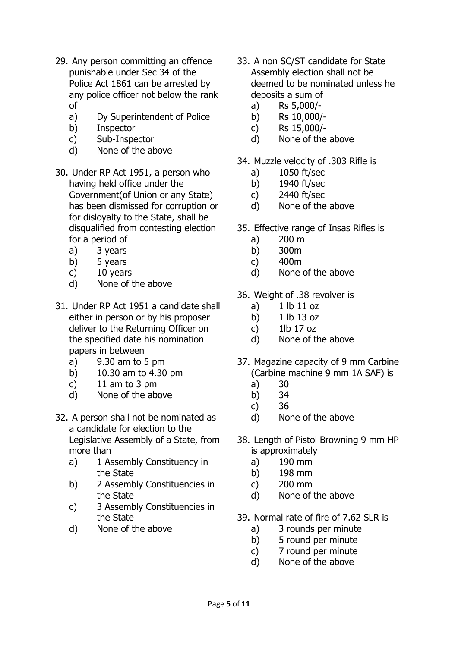- 29. Any person committing an offence punishable under Sec 34 of the Police Act 1861 can be arrested by any police officer not below the rank of
	- a) Dy Superintendent of Police
	- b) Inspector
	- c) Sub-Inspector
	- d) None of the above
- 30. Under RP Act 1951, a person who having held office under the Government(of Union or any State) has been dismissed for corruption or for disloyalty to the State, shall be disqualified from contesting election for a period of
	- a) 3 years
	- b) 5 years
	- c) 10 years
	- d) None of the above
- 31. Under RP Act 1951 a candidate shall either in person or by his proposer deliver to the Returning Officer on the specified date his nomination papers in between
	- a) 9.30 am to 5 pm
	- b) 10.30 am to 4.30 pm
	- c) 11 am to 3 pm
	- d) None of the above
- 32. A person shall not be nominated as a candidate for election to the Legislative Assembly of a State, from more than
	- a) 1 Assembly Constituency in the State
	- b) 2 Assembly Constituencies in the State
	- c) 3 Assembly Constituencies in the State
	- d) None of the above
- 33. A non SC/ST candidate for State Assembly election shall not be deemed to be nominated unless he deposits a sum of
	- a) Rs 5,000/-
	- b) Rs 10,000/-
	- c) Rs 15,000/-
	- d) None of the above
- 34. Muzzle velocity of .303 Rifle is
	- a) 1050 ft/sec
	- b) 1940 ft/sec
	- c) 2440 ft/sec
	- d) None of the above
- 35. Effective range of Insas Rifles is
	- a) 200 m
	- b) 300m
	- c) 400m
	- d) None of the above
- 36. Weight of .38 revolver is
	- a)  $1 lb 11 oz$
	- b) 1 lb 13 oz
	- c) 1lb 17 oz
	- d) None of the above
- 37. Magazine capacity of 9 mm Carbine (Carbine machine 9 mm 1A SAF) is
	- a) 30
	- b) 34
	- c) 36
	- d) None of the above
- 38. Length of Pistol Browning 9 mm HP is approximately
	- a) 190 mm
	- b) 198 mm
	- c) 200 mm
	- d) None of the above
- 39. Normal rate of fire of 7.62 SLR is
	- a) 3 rounds per minute
	- b) 5 round per minute
	- c) 7 round per minute
	- d) None of the above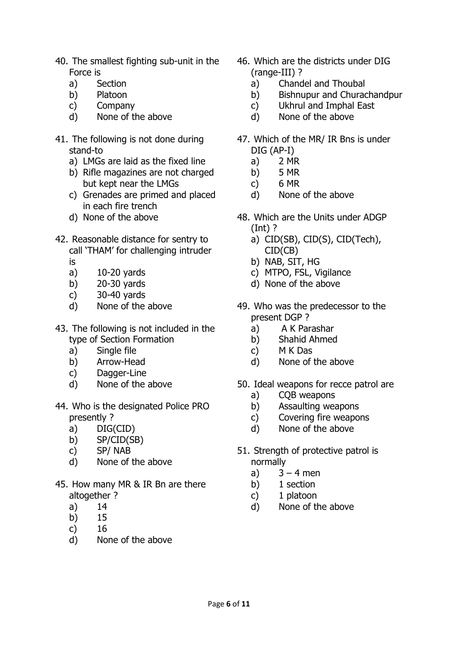- 40. The smallest fighting sub-unit in the Force is
	- a) Section
	- b) Platoon
	- c) Company
	- d) None of the above
- 41. The following is not done during stand-to
	- a) LMGs are laid as the fixed line
	- b) Rifle magazines are not charged but kept near the LMGs
	- c) Grenades are primed and placed in each fire trench
	- d) None of the above
- 42. Reasonable distance for sentry to call 'THAM' for challenging intruder is
	- a) 10-20 yards
	- b) 20-30 yards
	- c) 30-40 yards
	- d) None of the above
- 43. The following is not included in the type of Section Formation
	- a) Single file
	- b) Arrow-Head
	- c) Dagger-Line
	- d) None of the above
- 44. Who is the designated Police PRO presently ?
	- a) DIG(CID)
	- b) SP/CID(SB)
	- c) SP/ NAB
	- d) None of the above
- 45. How many MR & IR Bn are there altogether ?
	- a) 14
	- b) 15
	- c) 16
	- d) None of the above
- 46. Which are the districts under DIG (range-III) ?
	- a) Chandel and Thoubal
	- b) Bishnupur and Churachandpur
	- c) Ukhrul and Imphal East
	- d) None of the above
- 47. Which of the MR/ IR Bns is under DIG (AP-I)
	- a) 2 MR
	- b) 5 MR
	- c) 6 MR
	- d) None of the above
- 48. Which are the Units under ADGP (Int) ?
	- a) CID(SB), CID(S), CID(Tech), CID(CB)
	- b) NAB, SIT, HG
	- c) MTPO, FSL, Vigilance
	- d) None of the above
- 49. Who was the predecessor to the present DGP ?
	- a) A K Parashar
	- b) Shahid Ahmed
	- c) M K Das
	- d) None of the above
- 50. Ideal weapons for recce patrol are
	- a) CQB weapons
	- b) Assaulting weapons
	- c) Covering fire weapons
	- d) None of the above
- 51. Strength of protective patrol is normally
	- a)  $3 4$  men
	- b) 1 section
	- c) 1 platoon
	- d) None of the above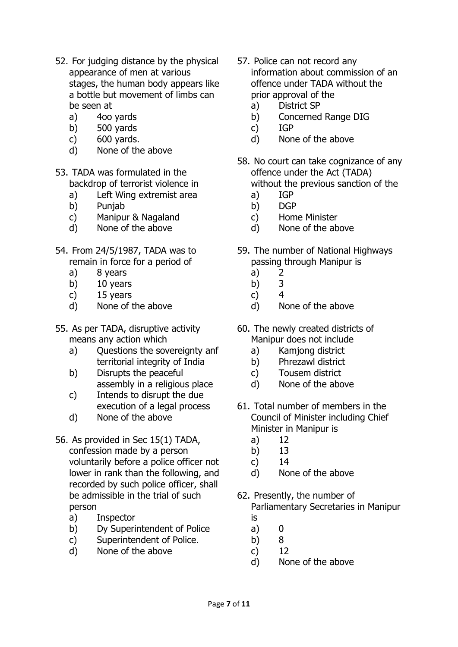- 52. For judging distance by the physical appearance of men at various stages, the human body appears like a bottle but movement of limbs can be seen at
	- a) 4oo yards
	- b) 500 yards
	- c) 600 yards.
	- d) None of the above
- 53. TADA was formulated in the backdrop of terrorist violence in
	- a) Left Wing extremist area
	- b) Punjab
	- c) Manipur & Nagaland
	- d) None of the above
- 54. From 24/5/1987, TADA was to remain in force for a period of
	- a) 8 years
	- b) 10 years
	- c) 15 years
	- d) None of the above
- 55. As per TADA, disruptive activity means any action which
	- a) Ouestions the sovereignty anf territorial integrity of India
	- b) Disrupts the peaceful assembly in a religious place
	- c) Intends to disrupt the due execution of a legal process
	- d) None of the above
- 56. As provided in Sec 15(1) TADA, confession made by a person voluntarily before a police officer not lower in rank than the following, and recorded by such police officer, shall be admissible in the trial of such person
	- a) Inspector
	- b) Dy Superintendent of Police
	- c) Superintendent of Police.
	- d) None of the above
- 57. Police can not record any information about commission of an offence under TADA without the prior approval of the
	- a) District SP
	- b) Concerned Range DIG
	- c) IGP
	- d) None of the above
- 58. No court can take cognizance of any offence under the Act (TADA) without the previous sanction of the
	- a) IGP
	- b) DGP
	- c) Home Minister
	- d) None of the above
- 59. The number of National Highways passing through Manipur is
	- a) 2
	- b) 3
	- c) 4
	- d) None of the above
- 60. The newly created districts of Manipur does not include
	- a) Kamjong district
	- b) Phrezawl district
	- c) Tousem district
	- d) None of the above
- 61. Total number of members in the Council of Minister including Chief Minister in Manipur is
	- a) 12
	- b) 13
	- c) 14
	- d) None of the above
- 62. Presently, the number of Parliamentary Secretaries in Manipur is
	-
	- a) 0 b) 8
	- c) 12
	- d) None of the above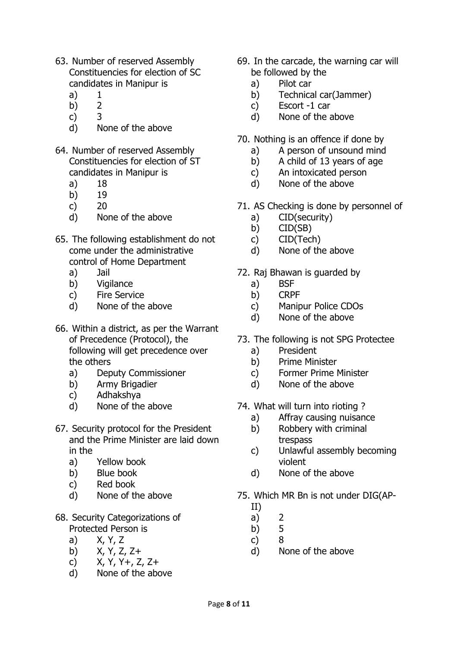- 63. Number of reserved Assembly Constituencies for election of SC candidates in Manipur is
	- a) 1
	- b) 2
	- c) 3
	- d) None of the above
- 64. Number of reserved Assembly Constituencies for election of ST candidates in Manipur is
	- a) 18
	- b) 19
	- c) 20
	- d) None of the above
- 65. The following establishment do not come under the administrative control of Home Department
	- a) Jail
	- b) Vigilance
	- c) Fire Service
	- d) None of the above
- 66. Within a district, as per the Warrant of Precedence (Protocol), the following will get precedence over the others
	- a) Deputy Commissioner
	- b) Army Brigadier
	- c) Adhakshya
	- d) None of the above
- 67. Security protocol for the President and the Prime Minister are laid down in the
	- a) Yellow book
	- b) Blue book
	- c) Red book
	- d) None of the above
- 68. Security Categorizations of Protected Person is
	- a) X, Y, Z
	- b) X, Y, Z, Z+
	- c)  $X, Y, Y_+, Z, Z_+$
	- d) None of the above
- 69. In the carcade, the warning car will be followed by the
	- a) Pilot car
	- b) Technical car(Jammer)
	- c) Escort -1 car
	- d) None of the above
- 70. Nothing is an offence if done by
	- a) A person of unsound mind
	- b) A child of 13 years of age
	- c) An intoxicated person
	- d) None of the above
- 71. AS Checking is done by personnel of
	- a) CID(security)
	- b) CID(SB)
	- c) CID(Tech)
	- d) None of the above
- 72. Raj Bhawan is guarded by
	- a) BSF
	- b) CRPF
	- c) Manipur Police CDOs
	- d) None of the above
- 73. The following is not SPG Protectee
	- a) President
	- b) Prime Minister
	- c) Former Prime Minister
	- d) None of the above
- 74. What will turn into rioting ?
	- a) Affray causing nuisance
	- b) Robbery with criminal trespass
	- c) Unlawful assembly becoming violent
	- d) None of the above
- 75. Which MR Bn is not under DIG(AP-
	- II)
	- a) 2
	- b) 5
	- c) 8
	- d) None of the above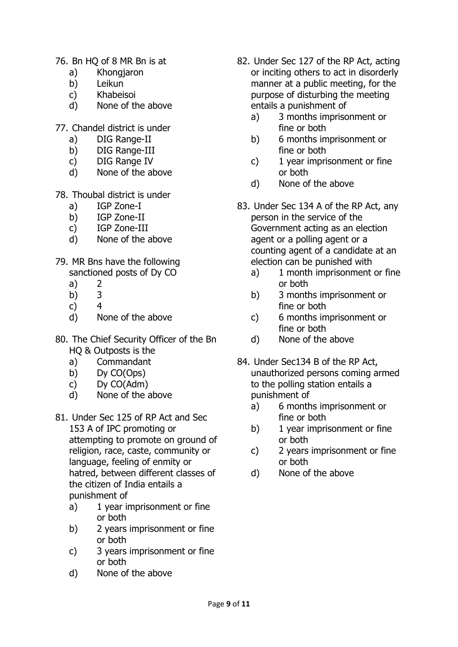- 76. Bn HQ of 8 MR Bn is at
	- a) Khongjaron
	- b) Leikun
	- c) Khabeisoi
	- d) None of the above
- 77. Chandel district is under
	- a) DIG Range-II
	- b) DIG Range-III
	- c) DIG Range IV
	- d) None of the above
- 78. Thoubal district is under
	- a) IGP Zone-I
	- b) IGP Zone-II
	- c) IGP Zone-III
	- d) None of the above
- 79. MR Bns have the following sanctioned posts of Dy CO
	- a) 2
	- b) 3
	- c) 4
	- d) None of the above
- 80. The Chief Security Officer of the Bn HQ & Outposts is the
	- a) Commandant
	- b) Dy CO(Ops)
	- c) Dy CO(Adm)
	- d) None of the above
- 81. Under Sec 125 of RP Act and Sec 153 A of IPC promoting or attempting to promote on ground of religion, race, caste, community or language, feeling of enmity or hatred, between different classes of the citizen of India entails a punishment of
	- a) 1 year imprisonment or fine or both
	- b) 2 years imprisonment or fine or both
	- c) 3 years imprisonment or fine or both
	- d) None of the above
- 82. Under Sec 127 of the RP Act, acting or inciting others to act in disorderly manner at a public meeting, for the purpose of disturbing the meeting entails a punishment of
	- a) 3 months imprisonment or fine or both
	- b) 6 months imprisonment or fine or both
	- c) 1 year imprisonment or fine or both
	- d) None of the above
- 83. Under Sec 134 A of the RP Act, any person in the service of the Government acting as an election agent or a polling agent or a counting agent of a candidate at an election can be punished with
	- a) 1 month imprisonment or fine or both
	- b) 3 months imprisonment or fine or both
	- c) 6 months imprisonment or fine or both
	- d) None of the above
- 84. Under Sec134 B of the RP Act, unauthorized persons coming armed to the polling station entails a punishment of
	- a) 6 months imprisonment or fine or both
	- b) 1 year imprisonment or fine or both
	- c) 2 years imprisonment or fine or both
	- d) None of the above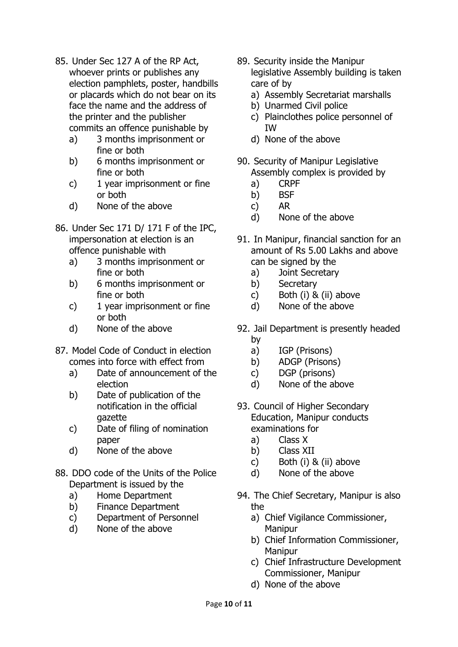- 85. Under Sec 127 A of the RP Act, whoever prints or publishes any election pamphlets, poster, handbills or placards which do not bear on its face the name and the address of the printer and the publisher commits an offence punishable by
	- a) 3 months imprisonment or fine or both
	- b) 6 months imprisonment or fine or both
	- c) 1 year imprisonment or fine or both
	- d) None of the above
- 86. Under Sec 171 D/ 171 F of the IPC, impersonation at election is an offence punishable with
	- a) 3 months imprisonment or fine or both
	- b) 6 months imprisonment or fine or both
	- c) 1 year imprisonment or fine or both
	- d) None of the above
- 87. Model Code of Conduct in election comes into force with effect from
	- a) Date of announcement of the election
	- b) Date of publication of the notification in the official gazette
	- c) Date of filing of nomination paper
	- d) None of the above
- 88. DDO code of the Units of the Police Department is issued by the
	- a) Home Department
	- b) Finance Department
	- c) Department of Personnel
	- d) None of the above
- 89. Security inside the Manipur legislative Assembly building is taken care of by
	- a) Assembly Secretariat marshalls
	- b) Unarmed Civil police
	- c) Plainclothes police personnel of IW
	- d) None of the above
- 90. Security of Manipur Legislative Assembly complex is provided by
	- a) CRPF
	- b) BSF
	- c) AR
	- d) None of the above
- 91. In Manipur, financial sanction for an amount of Rs 5.00 Lakhs and above can be signed by the
	- a) Joint Secretary
	- b) Secretary
	- c) Both (i) & (ii) above
	- d) None of the above
- 92. Jail Department is presently headed by
	- a) IGP (Prisons)
	- b) ADGP (Prisons)
	- c) DGP (prisons)
	- d) None of the above
- 93. Council of Higher Secondary Education, Manipur conducts examinations for
	- a) Class X
	- b) Class XII
	- c) Both (i) & (ii) above
	- d) None of the above
- 94. The Chief Secretary, Manipur is also the
	- a) Chief Vigilance Commissioner, Manipur
	- b) Chief Information Commissioner, Manipur
	- c) Chief Infrastructure Development Commissioner, Manipur
	- d) None of the above